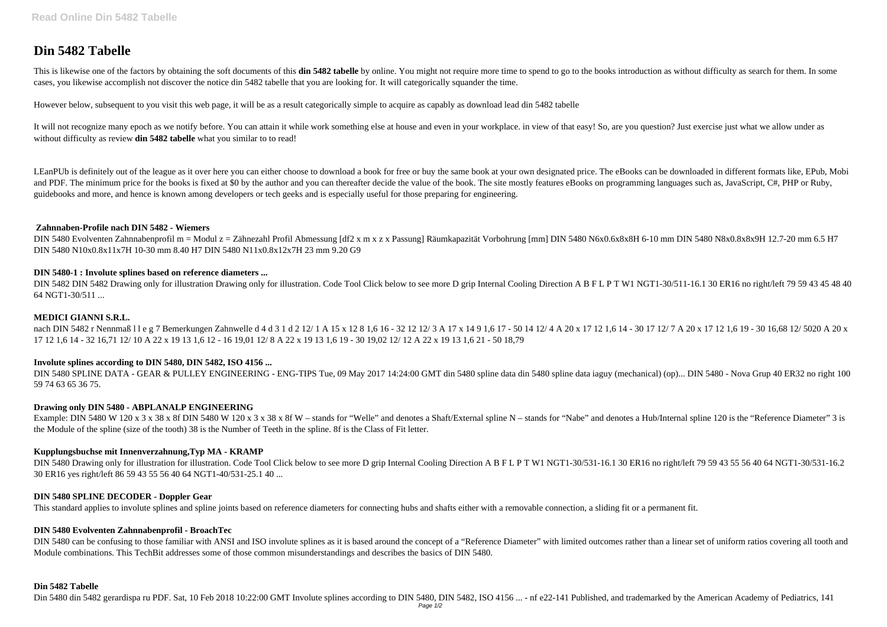# **Din 5482 Tabelle**

This is likewise one of the factors by obtaining the soft documents of this din 5482 tabelle by online. You might not require more time to spend to go to the books introduction as without difficulty as search for them. In cases, you likewise accomplish not discover the notice din 5482 tabelle that you are looking for. It will categorically squander the time.

It will not recognize many epoch as we notify before. You can attain it while work something else at house and even in your workplace. in view of that easy! So, are you question? Just exercise just what we allow under as without difficulty as review **din 5482 tabelle** what you similar to to read!

However below, subsequent to you visit this web page, it will be as a result categorically simple to acquire as capably as download lead din 5482 tabelle

LEanPUb is definitely out of the league as it over here you can either choose to download a book for free or buy the same book at your own designated price. The eBooks can be downloaded in different formats like, EPub, Mob and PDF. The minimum price for the books is fixed at \$0 by the author and you can thereafter decide the value of the book. The site mostly features eBooks on programming languages such as, JavaScript, C#, PHP or Ruby, guidebooks and more, and hence is known among developers or tech geeks and is especially useful for those preparing for engineering.

DIN 5482 DIN 5482 Drawing only for illustration Drawing only for illustration. Code Tool Click below to see more D grip Internal Cooling Direction A B F L P T W1 NGT1-30/511-16.1 30 ER16 no right/left 79 59 43 45 48 40 64 NGT1-30/511 ...

nach DIN 5482 r Nennmaß 11 e g 7 Bemerkungen Zahnwelle d 4 d 3 1 d 2 12/ 1 A 15 x 12 8 1,6 16 - 32 12 12/ 3 A 17 x 14 9 1,6 17 - 50 14 12/ 4 A 20 x 17 12 1,6 14 - 30 17 12/ 7 A 20 x 17 12 1,6 19 - 30 16,68 12/ 5020 A 20 x 17 12 1,6 14 - 32 16,71 12/ 10 A 22 x 19 13 1,6 12 - 16 19,01 12/ 8 A 22 x 19 13 1,6 19 - 30 19,02 12/ 12 A 22 x 19 13 1,6 21 - 50 18,79

DIN 5480 SPLINE DATA - GEAR & PULLEY ENGINEERING - ENG-TIPS Tue, 09 May 2017 14:24:00 GMT din 5480 spline data din 5480 spline data iaguy (mechanical) (op)... DIN 5480 - Nova Grup 40 ER32 no right 100 59 74 63 65 36 75.

### **Zahnnaben-Profile nach DIN 5482 - Wiemers**

Example: DIN 5480 W 120 x 3 x 38 x 8f DIN 5480 W 120 x 3 x 38 x 8f W – stands for "Welle" and denotes a Shaft/External spline N – stands for "Nabe" and denotes a Hub/Internal spline 120 is the "Reference Diameter" 3 is the Module of the spline (size of the tooth) 38 is the Number of Teeth in the spline. 8f is the Class of Fit letter.

DIN 5480 Evolventen Zahnnabenprofil m = Modul z = Zähnezahl Profil Abmessung [df2 x m x z x Passung] Räumkapazität Vorbohrung [mm] DIN 5480 N6x0.6x8x8H 6-10 mm DIN 5480 N8x0.8x8x9H 12.7-20 mm 6.5 H7 DIN 5480 N10x0.8x11x7H 10-30 mm 8.40 H7 DIN 5480 N11x0.8x12x7H 23 mm 9.20 G9

DIN 5480 Drawing only for illustration for illustration. Code Tool Click below to see more D grip Internal Cooling Direction A B F L P T W1 NGT1-30/531-16.1 30 ER16 no right/left 79 59 43 55 56 40 64 NGT1-30/531-16.2 30 ER16 yes right/left 86 59 43 55 56 40 64 NGT1-40/531-25.1 40 ...

# **DIN 5480-1 : Involute splines based on reference diameters ...**

DIN 5480 can be confusing to those familiar with ANSI and ISO involute splines as it is based around the concept of a "Reference Diameter" with limited outcomes rather than a linear set of uniform ratios covering all tooth Module combinations. This TechBit addresses some of those common misunderstandings and describes the basics of DIN 5480.

# **MEDICI GIANNI S.R.L.**

# **Involute splines according to DIN 5480, DIN 5482, ISO 4156 ...**

# **Drawing only DIN 5480 - ABPLANALP ENGINEERING**

# **Kupplungsbuchse mit Innenverzahnung,Typ MA - KRAMP**

# **DIN 5480 SPLINE DECODER - Doppler Gear**

This standard applies to involute splines and spline joints based on reference diameters for connecting hubs and shafts either with a removable connection, a sliding fit or a permanent fit.

# **DIN 5480 Evolventen Zahnnabenprofil - BroachTec**

# **Din 5482 Tabelle**

Din 5480 din 5482 gerardispa ru PDF. Sat, 10 Feb 2018 10:22:00 GMT Involute splines according to DIN 5480, DIN 5482, ISO 4156 ... - nf e22-141 Published, and trademarked by the American Academy of Pediatrics, 141